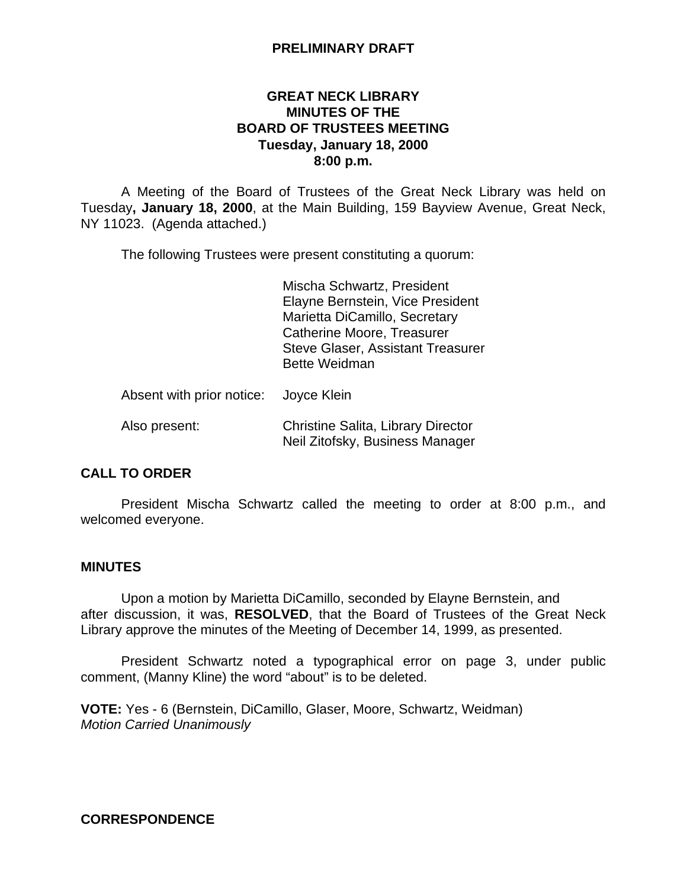## **PRELIMINARY DRAFT**

## **GREAT NECK LIBRARY MINUTES OF THE BOARD OF TRUSTEES MEETING Tuesday, January 18, 2000 8:00 p.m.**

A Meeting of the Board of Trustees of the Great Neck Library was held on Tuesday**, January 18, 2000**, at the Main Building, 159 Bayview Avenue, Great Neck, NY 11023. (Agenda attached.)

The following Trustees were present constituting a quorum:

Mischa Schwartz, President Elayne Bernstein, Vice President Marietta DiCamillo, Secretary Catherine Moore, Treasurer Steve Glaser, Assistant Treasurer Bette Weidman

Absent with prior notice: Joyce Klein

# Also present: Christine Salita, Library Director Neil Zitofsky, Business Manager

## **CALL TO ORDER**

President Mischa Schwartz called the meeting to order at 8:00 p.m., and welcomed everyone.

## **MINUTES**

Upon a motion by Marietta DiCamillo, seconded by Elayne Bernstein, and after discussion, it was, **RESOLVED**, that the Board of Trustees of the Great Neck Library approve the minutes of the Meeting of December 14, 1999, as presented.

President Schwartz noted a typographical error on page 3, under public comment, (Manny Kline) the word "about" is to be deleted.

**VOTE:** Yes - 6 (Bernstein, DiCamillo, Glaser, Moore, Schwartz, Weidman) *Motion Carried Unanimously*

## **CORRESPONDENCE**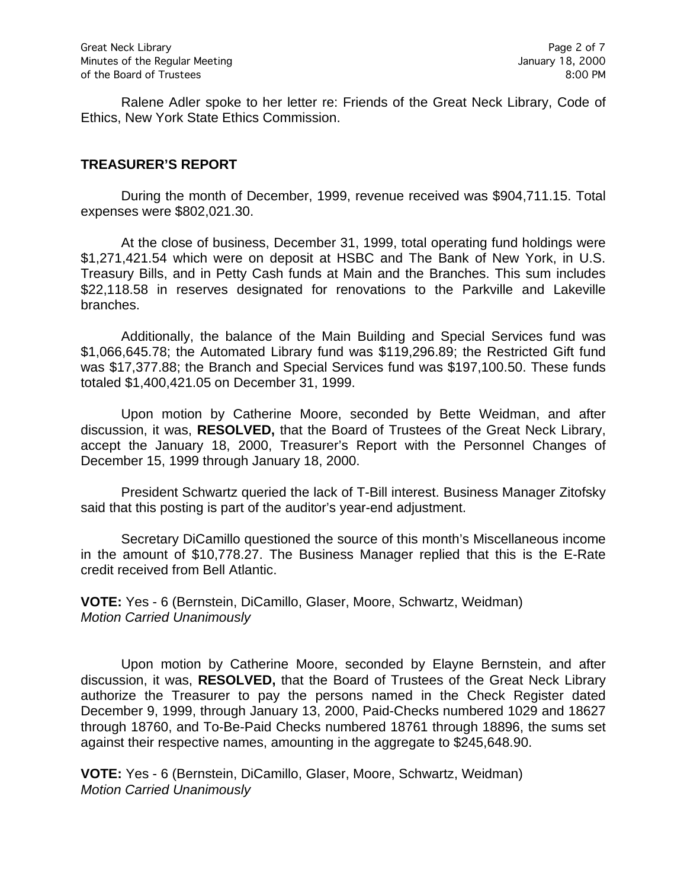Ralene Adler spoke to her letter re: Friends of the Great Neck Library, Code of Ethics, New York State Ethics Commission.

#### **TREASURER'S REPORT**

During the month of December, 1999, revenue received was \$904,711.15. Total expenses were \$802,021.30.

At the close of business, December 31, 1999, total operating fund holdings were \$1,271,421.54 which were on deposit at HSBC and The Bank of New York, in U.S. Treasury Bills, and in Petty Cash funds at Main and the Branches. This sum includes \$22,118.58 in reserves designated for renovations to the Parkville and Lakeville branches.

Additionally, the balance of the Main Building and Special Services fund was \$1,066,645.78; the Automated Library fund was \$119,296.89; the Restricted Gift fund was \$17,377.88; the Branch and Special Services fund was \$197,100.50. These funds totaled \$1,400,421.05 on December 31, 1999.

Upon motion by Catherine Moore, seconded by Bette Weidman, and after discussion, it was, **RESOLVED,** that the Board of Trustees of the Great Neck Library, accept the January 18, 2000, Treasurer's Report with the Personnel Changes of December 15, 1999 through January 18, 2000.

President Schwartz queried the lack of T-Bill interest. Business Manager Zitofsky said that this posting is part of the auditor's year-end adjustment.

Secretary DiCamillo questioned the source of this month's Miscellaneous income in the amount of \$10,778.27. The Business Manager replied that this is the E-Rate credit received from Bell Atlantic.

**VOTE:** Yes - 6 (Bernstein, DiCamillo, Glaser, Moore, Schwartz, Weidman) *Motion Carried Unanimously*

Upon motion by Catherine Moore, seconded by Elayne Bernstein, and after discussion, it was, **RESOLVED,** that the Board of Trustees of the Great Neck Library authorize the Treasurer to pay the persons named in the Check Register dated December 9, 1999, through January 13, 2000, Paid-Checks numbered 1029 and 18627 through 18760, and To-Be-Paid Checks numbered 18761 through 18896, the sums set against their respective names, amounting in the aggregate to \$245,648.90.

**VOTE:** Yes - 6 (Bernstein, DiCamillo, Glaser, Moore, Schwartz, Weidman) *Motion Carried Unanimously*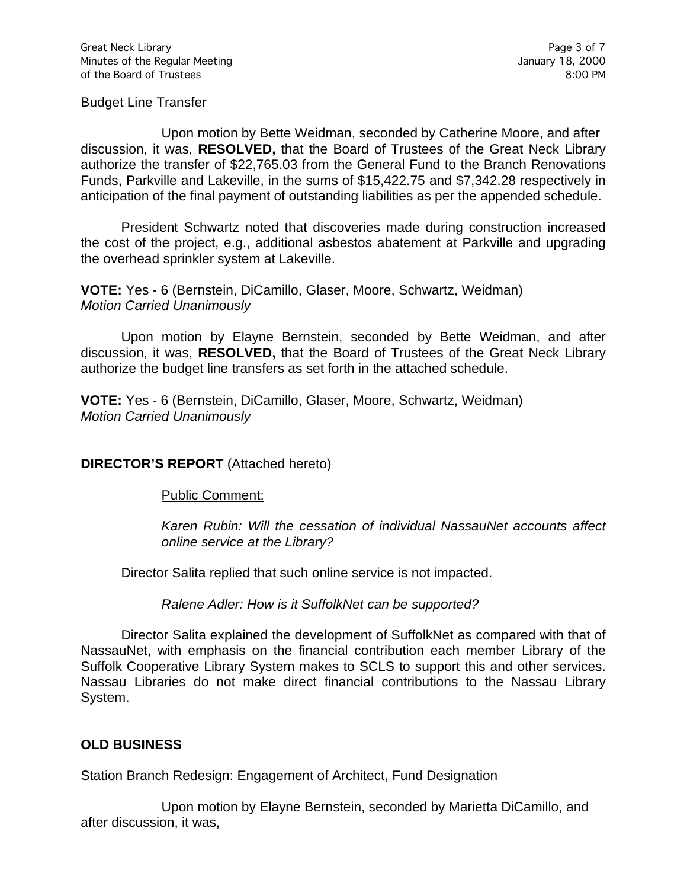#### Budget Line Transfer

Upon motion by Bette Weidman, seconded by Catherine Moore, and after discussion, it was, **RESOLVED,** that the Board of Trustees of the Great Neck Library authorize the transfer of \$22,765.03 from the General Fund to the Branch Renovations Funds, Parkville and Lakeville, in the sums of \$15,422.75 and \$7,342.28 respectively in anticipation of the final payment of outstanding liabilities as per the appended schedule.

President Schwartz noted that discoveries made during construction increased the cost of the project, e.g., additional asbestos abatement at Parkville and upgrading the overhead sprinkler system at Lakeville.

**VOTE:** Yes - 6 (Bernstein, DiCamillo, Glaser, Moore, Schwartz, Weidman) *Motion Carried Unanimously*

Upon motion by Elayne Bernstein, seconded by Bette Weidman, and after discussion, it was, **RESOLVED,** that the Board of Trustees of the Great Neck Library authorize the budget line transfers as set forth in the attached schedule.

**VOTE:** Yes - 6 (Bernstein, DiCamillo, Glaser, Moore, Schwartz, Weidman) *Motion Carried Unanimously*

## **DIRECTOR'S REPORT** (Attached hereto)

Public Comment:

*Karen Rubin: Will the cessation of individual NassauNet accounts affect online service at the Library?*

Director Salita replied that such online service is not impacted.

*Ralene Adler: How is it SuffolkNet can be supported?*

Director Salita explained the development of SuffolkNet as compared with that of NassauNet, with emphasis on the financial contribution each member Library of the Suffolk Cooperative Library System makes to SCLS to support this and other services. Nassau Libraries do not make direct financial contributions to the Nassau Library System.

#### **OLD BUSINESS**

#### Station Branch Redesign: Engagement of Architect, Fund Designation

Upon motion by Elayne Bernstein, seconded by Marietta DiCamillo, and after discussion, it was,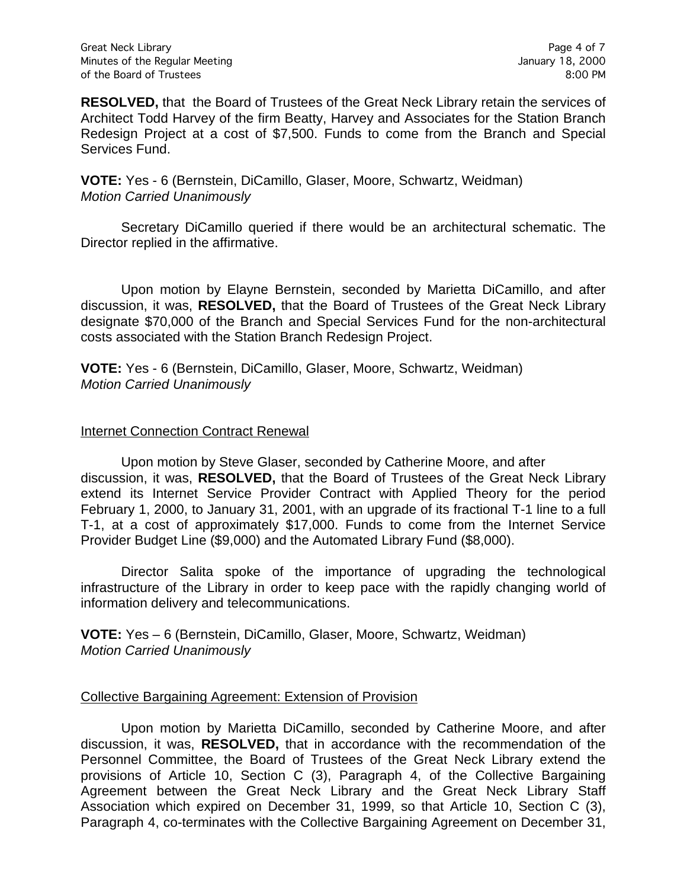**RESOLVED,** that the Board of Trustees of the Great Neck Library retain the services of Architect Todd Harvey of the firm Beatty, Harvey and Associates for the Station Branch Redesign Project at a cost of \$7,500. Funds to come from the Branch and Special Services Fund.

**VOTE:** Yes - 6 (Bernstein, DiCamillo, Glaser, Moore, Schwartz, Weidman) *Motion Carried Unanimously*

Secretary DiCamillo queried if there would be an architectural schematic. The Director replied in the affirmative.

Upon motion by Elayne Bernstein, seconded by Marietta DiCamillo, and after discussion, it was, **RESOLVED,** that the Board of Trustees of the Great Neck Library designate \$70,000 of the Branch and Special Services Fund for the non-architectural costs associated with the Station Branch Redesign Project.

**VOTE:** Yes - 6 (Bernstein, DiCamillo, Glaser, Moore, Schwartz, Weidman) *Motion Carried Unanimously*

### Internet Connection Contract Renewal

Upon motion by Steve Glaser, seconded by Catherine Moore, and after discussion, it was, **RESOLVED,** that the Board of Trustees of the Great Neck Library extend its Internet Service Provider Contract with Applied Theory for the period February 1, 2000, to January 31, 2001, with an upgrade of its fractional T-1 line to a full T-1, at a cost of approximately \$17,000. Funds to come from the Internet Service Provider Budget Line (\$9,000) and the Automated Library Fund (\$8,000).

Director Salita spoke of the importance of upgrading the technological infrastructure of the Library in order to keep pace with the rapidly changing world of information delivery and telecommunications.

**VOTE:** Yes – 6 (Bernstein, DiCamillo, Glaser, Moore, Schwartz, Weidman) *Motion Carried Unanimously*

#### Collective Bargaining Agreement: Extension of Provision

Upon motion by Marietta DiCamillo, seconded by Catherine Moore, and after discussion, it was, **RESOLVED,** that in accordance with the recommendation of the Personnel Committee, the Board of Trustees of the Great Neck Library extend the provisions of Article 10, Section C (3), Paragraph 4, of the Collective Bargaining Agreement between the Great Neck Library and the Great Neck Library Staff Association which expired on December 31, 1999, so that Article 10, Section C (3), Paragraph 4, co-terminates with the Collective Bargaining Agreement on December 31,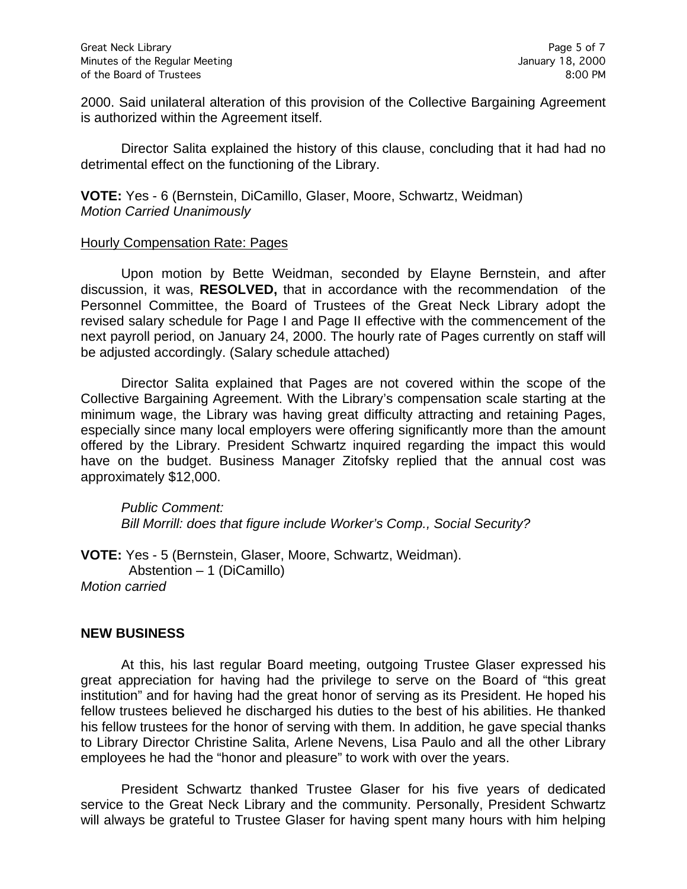2000. Said unilateral alteration of this provision of the Collective Bargaining Agreement is authorized within the Agreement itself.

Director Salita explained the history of this clause, concluding that it had had no detrimental effect on the functioning of the Library.

**VOTE:** Yes - 6 (Bernstein, DiCamillo, Glaser, Moore, Schwartz, Weidman) *Motion Carried Unanimously*

#### Hourly Compensation Rate: Pages

Upon motion by Bette Weidman, seconded by Elayne Bernstein, and after discussion, it was, **RESOLVED,** that in accordance with the recommendation of the Personnel Committee, the Board of Trustees of the Great Neck Library adopt the revised salary schedule for Page I and Page II effective with the commencement of the next payroll period, on January 24, 2000. The hourly rate of Pages currently on staff will be adjusted accordingly. (Salary schedule attached)

Director Salita explained that Pages are not covered within the scope of the Collective Bargaining Agreement. With the Library's compensation scale starting at the minimum wage, the Library was having great difficulty attracting and retaining Pages, especially since many local employers were offering significantly more than the amount offered by the Library. President Schwartz inquired regarding the impact this would have on the budget. Business Manager Zitofsky replied that the annual cost was approximately \$12,000.

*Public Comment: Bill Morrill: does that figure include Worker's Comp., Social Security?*

**VOTE:** Yes - 5 (Bernstein, Glaser, Moore, Schwartz, Weidman). Abstention – 1 (DiCamillo) *Motion carried*

#### **NEW BUSINESS**

At this, his last regular Board meeting, outgoing Trustee Glaser expressed his great appreciation for having had the privilege to serve on the Board of "this great institution" and for having had the great honor of serving as its President. He hoped his fellow trustees believed he discharged his duties to the best of his abilities. He thanked his fellow trustees for the honor of serving with them. In addition, he gave special thanks to Library Director Christine Salita, Arlene Nevens, Lisa Paulo and all the other Library employees he had the "honor and pleasure" to work with over the years.

President Schwartz thanked Trustee Glaser for his five years of dedicated service to the Great Neck Library and the community. Personally, President Schwartz will always be grateful to Trustee Glaser for having spent many hours with him helping